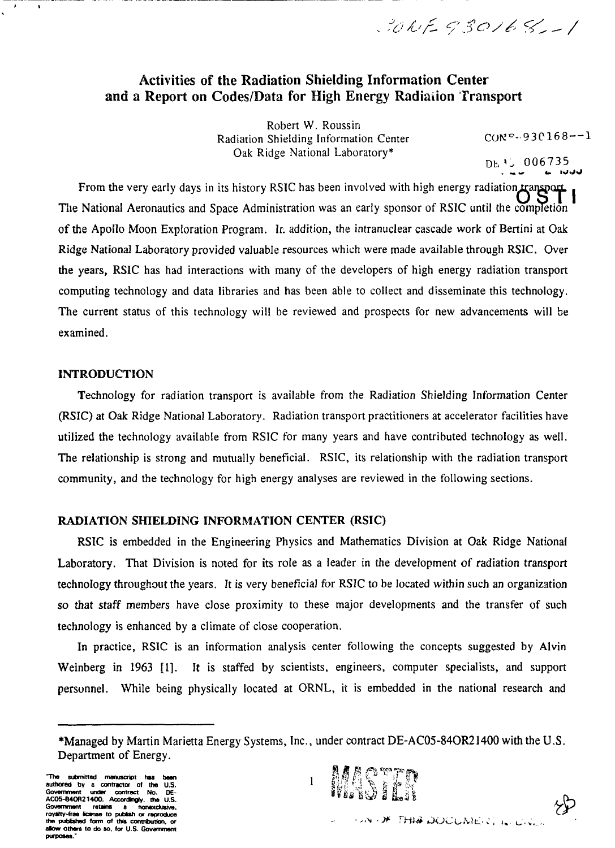$3015930168 - 1$ 

## Activities of the Radiation Shielding Information Center and a Report on Codes/Data for High Energy Radiaiion Transport

Robert W. Roussin Radiation Shielding Information Center Oak Ridge National Laboratory\*

 $COR^{\nabla} - 930168 - -1$ 

 $DE'$  006735

From the very early days in its history RSIC has been involved with high energy radiation transport Tlie National Aeronautics and Space Administration was an early sponsor of RSIC until the completion of the Apollo Moon Exploration Program. Ir. addition, the intranuclear cascade work of Bertini at Oak Ridge National Laboratory provided valuable resources which were made available through RSIC. Over the years, RSIC has had interactions with many of the developers of high energy radiation transport computing technology and data libraries and has been able to collect and disseminate this technology. The current status of this technology will be reviewed and prospects for new advancements will be examined.

#### **INTRODUCTION**

Technology for radiation transport is available from the Radiation Shielding Information Center (RSIC) at Oak Ridge National Laboratory. Radiation transport practitioners at accelerator facilities have utilized the technology available from RSIC for many years and have contributed technology as well. The relationship is strong and mutually beneficial. RSIC, its relationship with the radiation transport community, and the technology for high energy analyses are reviewed in the following sections.

### **RADIATION SHIELDING INFORMATION** CENTER **(RSIC)**

RSIC is embedded in the Engineering Physics and Mathematics Division at Oak Ridge National Laboratory. That Division is noted for its role as a leader in the development of radiation transport technology throughout the years. It is very beneficial for RSIC to be located within such an organization so that staff members have close proximity to these major developments and the transfer of such technology is enhanced by a climate of close cooperation.

In practice, RSIC is an information analysis center following the concepts suggested by Alvin Weinberg in 1963 [1]. It is staffed by scientists, engineers, computer specialists, and support personnel. While being physically located at ORNL, it is embedded in the national research and



<sup>\*</sup>Managed by Martin Marietta Energy Systems, Inc., under contract DE-AC05-84OR21400 with the U.S. Department of Energy.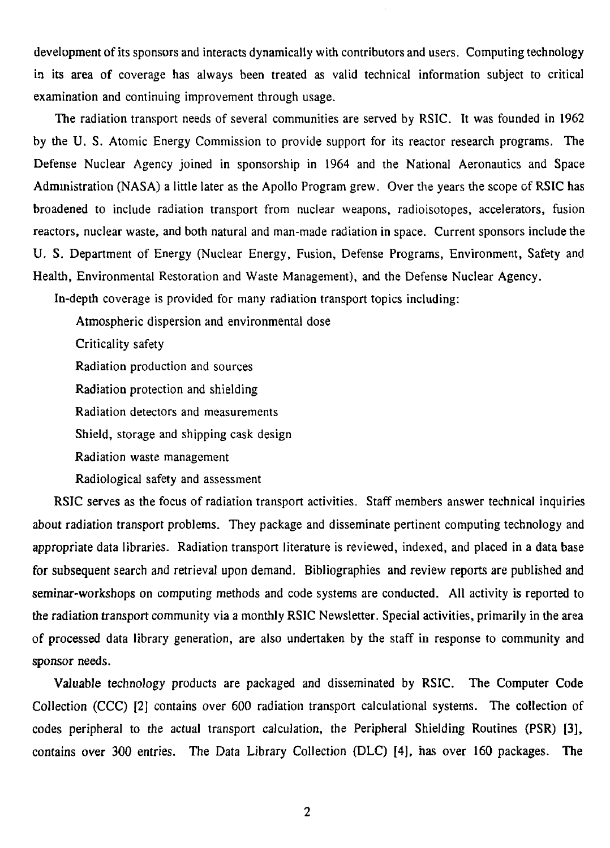development of its sponsors and interacts dynamically with contributors and users. Computing technology in its area of coverage has always been treated as valid technical information subject to critical examination and continuing improvement through usage.

The radiation transport needs of several communities are served by RSIC. It was founded in 1962 by the U. S. Atomic Energy Commission to provide support for its reactor research programs. The Defense Nuclear Agency joined in sponsorship in 1964 and the National Aeronautics and Space Administration (NASA) a little later as the Apollo Program grew. Over the years the scope of RSIC has broadened to include radiation transport from nuclear weapons, radioisotopes, accelerators, fusion reactors, nuclear waste, and both natural and man-made radiation in space. Current sponsors include the U. S. Department of Energy (Nuclear Energy, Fusion, Defense Programs, Environment, Safety and Health, Environmental Restoration and Waste Management), and the Defense Nuclear Agency.

In-depth coverage is provided for many radiation transport topics including:

Atmospheric dispersion and environmental dose

Criticality safety

Radiation production and sources

Radiation protection and shielding

Radiation detectors and measurements

Shield, storage and shipping cask design

Radiation waste management

Radiological safety and assessment

RSIC serves as the focus of radiation transport activities. Staff members answer technical inquiries about radiation transport problems. They package and disseminate pertinent computing technology and appropriate data libraries. Radiation transport literature is reviewed, indexed, and placed in a data base for subsequent search and retrieval upon demand. Bibliographies and review reports are published and seminar-workshops on computing methods and code systems are conducted. All activity is reported to the radiation transport community via a monthly RSIC Newsletter. Special activities, primarily in the area of processed data library generation, are also undertaken by the staff in response to community and sponsor needs.

Valuable technology products are packaged and disseminated by RSIC. The Computer Code Collection (CCC) [2] contains over 600 radiation transport calculational systems. The collection of codes peripheral to the actual transport calculation, the Peripheral Shielding Routines (PSR) [3], contains over 300 entries. The Data Library Collection (DLC) |4], has over 160 packages. The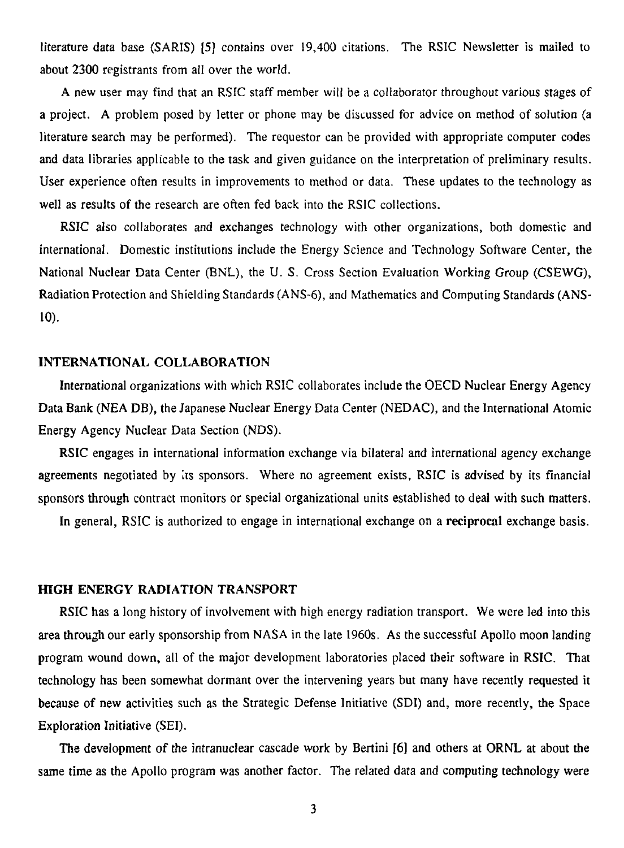literature data base (SARIS) [5] contains over 19,400 citations. The RSIC Newsletter is mailed to about 2300 registrants from all over the world.

A new user may find that an RSIC staff member will be a collaborator throughout various stages of a project. A problem posed by letter or phone may be discussed for advice on method of solution (a literature search may be performed). The requestor can be provided with appropriate computer codes and data libraries applicable to the task and given guidance on the interpretation of preliminary results. User experience often results in improvements to method or data. These updates to the technology as well as results of the research are often fed back into the RSIC collections.

RSIC also collaborates and exchanges technology with other organizations, both domestic and international. Domestic institutions include the Energy Science and Technology Software Center, the National Nuclear Data Center (BNL), the U. S. Cross Section Evaluation Working Group (CSEWG), Radiation Protection and Shielding Standards (ANS-6), and Mathematics and Computing Standards (ANS-**10).**

#### **INTERNATIONAL COLLABORATION**

International organizations with which RSIC collaborates include the OECD Nuclear Energy Agency Data Bank (NEA DB), the Japanese Nuclear Energy Data Center (NEDAC), and the International Atomic Energy Agency Nuclear Data Section (NDS).

RSIC engages in international information exchange via bilateral and international agency exchange agreements negotiated by its sponsors. Where no agreement exists, RSIC is advised by its financial sponsors through contract monitors or special organizational units established to deal with such matters.

In general, RSIC is authorized to engage in international exchange on a reciprocal exchange basis.

#### **HIGH ENERGY RADIATION TRANSPORT**

RSIC has a long history of involvement with high energy radiation transport. We were led into this area through our early sponsorship from NASA in the late 1960s. As the successful Apollo moon landing program wound down, all of the major development laboratories placed their software in RSIC. That technology has been somewhat dormant over the intervening years but many have recently requested it because of new activities such as the Strategic Defense Initiative (SDI) and, more recently, the Space Exploration Initiative (SEI).

The development of the intranuclear cascade work by Bertini [6] and others at ORNL at about the same time as the Apollo program was another factor. The related data and computing technology were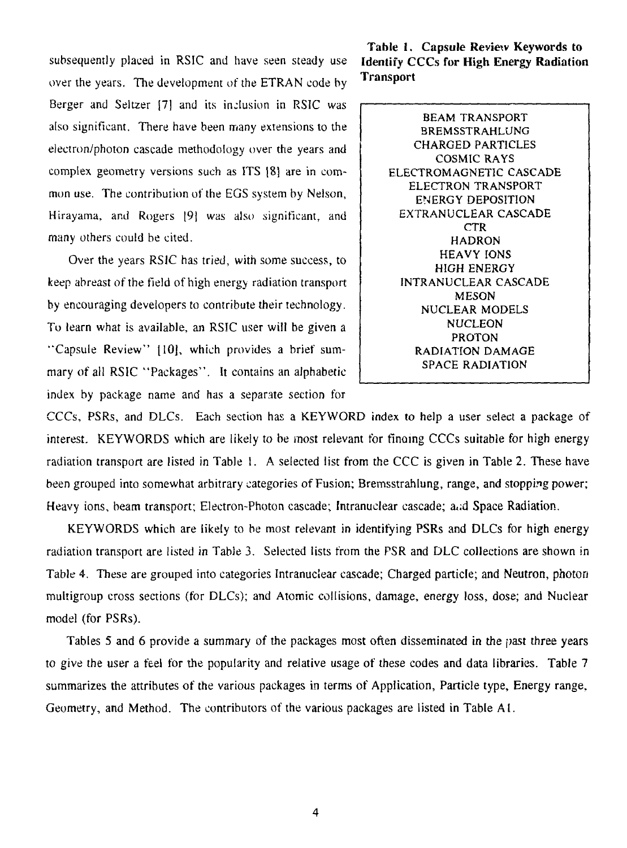subsequently placed in RSIC and have seen steady use **Identify CCCs for High Energy Radiation** over the years. The development of the ETRAN code by Berger and Seltzer (7] and its inclusion in RSIC was also significant. There have been many extensions to the electron/photon cascade methodology over the years and complex geometry versions such as ITS |8j are in common use. The contribution of the EGS system by Nelson, Hirayama, and Rogers [9| was also significant, and many others could be cited.

Over the years RSIC has tried, with some success, to keep abreast of the field of high energy radiation transport by encouraging developers to contribute their technology. To learn what is available, an RSIC user will be given a "Capsule Review" 1**10],** which provides a brief summary of all RSIC "Packages". It contains an alphabetic index by package name and has a separate section for

**Table 1. Capsule Review Keywords to Transport** 

> BEAM TRANSPORT SREMSSTRAHLUNG CHARGED PARTICLES COSMIC RAYS ELECTROMAGNETIC CASCADE ELECTRON TRANSPORT ENERGY DEPOSITION EXTRANUCLEAR CASCADE CTR HADRON HEAVY IONS HIGH ENERGY INTRANUCLEAR CASCADE MESON NUCLEAR MODELS NUCLEON PROTON RADIATION DAMAGE SPACE RADIATION

CCCs, PSRs, and DLCs. Each section has a KEYWORD index to help a user select a package of interest. KEYWORDS which are likely to be most relevant for finding CCCs suitable for high energy radiation transport are listed in Table 1. A selected list from the CCC is given in Table 2. These have been grouped into somewhat arbitrary categories of Fusion; Bremsstrahlung, range, and stopping power; Heavy ions, beam transport; Electron-Photon cascade; Intranuclear cascade; and Space Radiation.

KEYWORDS which are likely to be most relevant in identifying PSRs and DLCs for high energy radiation transport are listed in Table 3. Selected lists from the PSR and DLC collections are shown in Table 4. These are grouped into categories Intranuclear cascade; Charged particle; and Neutron, photon multigroup cross sections (for DLCs); and Atomic collisions, damage, energy loss, dose; and Nuclear model (for PSRs).

Tables 5 and 6 provide a summary of the packages most often disseminated in the past three years to give the user a feel for the popularity and relative usage of these codes and data libraries. Table 7 summarizes the attributes of the various packages in terms of Application, Particle type, Energy range. Geometry, and Method. The contributors of the various packages are listed in Table A I.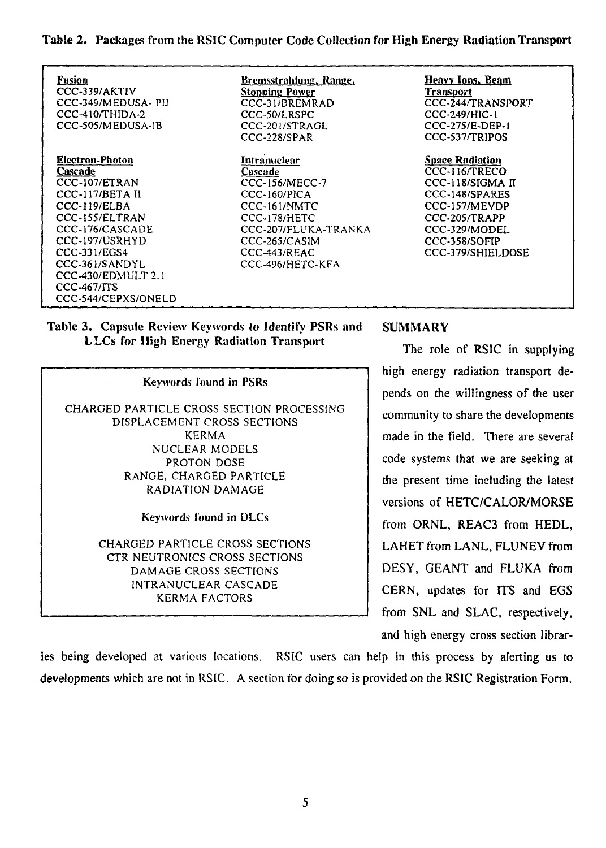**Table 2.** Packages from the RSIC Computer Code Collection for High Energy **Radiation Transport**

Fusion CCC-339/AKTIV CCC-345/MEDUSA- PIJ CCC-410/THIDA-2 CCC-S05/MEDUSA-1B

Electron-Photon Cascade CCC-107/ETRAN CCC-117/BETA II CCC-119/ELBA CCC-155/ELTRAN CCC-176/CASCADE CCC-197/USRHYD CCC-331/EGS4 CCC-361/SANDYL CCC-430/EDMULT 2.1 CCC-467/ITS CCC-544/CEPXS/ONELD Bremsstrahlung, Range, **Stopping Power** CCC-31/GREMRAD CCC-50/LRSPC CCC-201/STRAGL CCC-228/SPAR

**Intranuclear Cascade** CCC-156/MECC-7 CCC-160/PICA CCC-161/NMTC CCC-178/HETC CCC-207/FLUKA-TRANKA CCC-265/CASIM CCC-443/REAC CCC-496/HETC-KFA

Heavv Ions. Beam **Transport** CCC-244/TRANSPORT CCC-249/HIC-1 CCC-275/E-DEP-1 CCC-537/TRIPOS

Space Radiation CCC-116/TRECO CCC-118/SIGMA II CCC-148/SPARES CCC-157/MEVDP CCC-2O5/TRAPP CCC-329/MODEL CCC-358/SOFIP CCC-379/SHIELDOSE

# **Table 3.** Capsule Review Keywords to Identify PSRs and **SUMMARY LLCs** for High Energy Radiation Transport<br>
The role of RSIC in supplying

Keywords found in PSRs CHARGED PARTICLE CROSS SECTION PROCESSING DISPLACEMENT CROSS SECTIONS KERMA NUCLEAR MODELS PROTON DOSE RANGE, CHARGED PARTICLE RADIATION DAMAGE Keywords found in DLCs

> CHARGED PARTICLE CROSS SECTIONS CTR NEUTRONICS CROSS SECTIONS DAMAGE CROSS SECTIONS INTRANUCLEAR CASCADE KERMA FACTORS

high energy radiation transport depends on the willingness of the user community to share the developments made in the field. There are several code systems that we are seeking at the present time including the latest versions of HETC/CALOR/MORSE from ORNL, REAC3 from HEDL, LAHET from LANL, FLUNEV from DESY, GEANT and FLUKA from CERN, updates for ITS and EGS from SNL and SLAC, respectively, and high energy cross section librar-

ies being developed at various locations. RSIC users can help in this process by alerting us to developments which are not in RSIC. A section for doing so is provided on the RSIC Registration Form. developments which are not in RSIC. A section for doing so is provided on the RSIC Registration Form.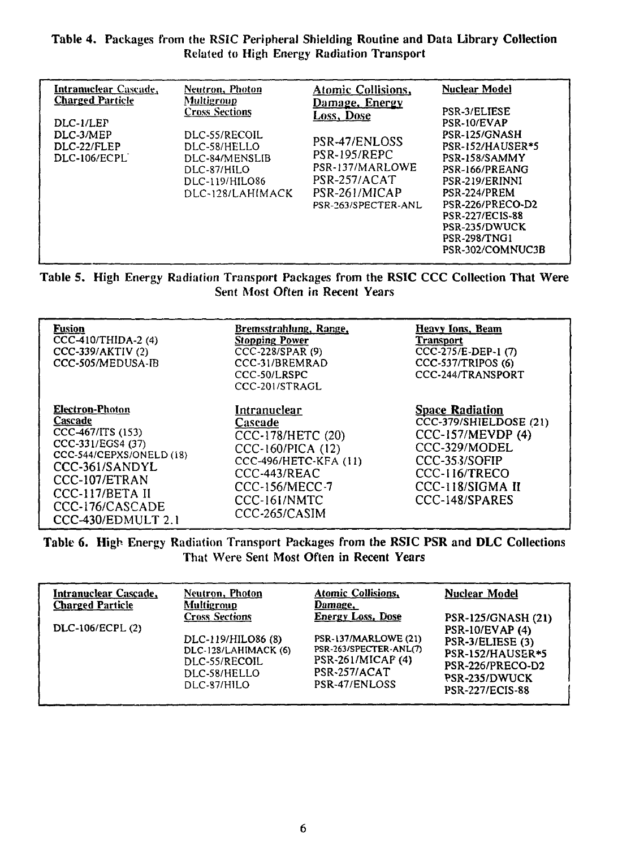### Table 4. Packages from the RSiC Peripheral Shielding **Routine and Data Library Collection** Related to High Energy Radiation Transport

| <b>Intranuclear</b> Cascade,<br><b>Charged Particle</b><br>DLC-1/LEP<br>DLC-3/MEP<br>DLC-22/FLEP<br>DLC-106/ECPL | <b>Neutron</b> , <b>Photon</b><br><b>Multigroup</b><br><b>Cross Sections</b><br>DLC-55/RECOIL<br>DLC-58/HELLO<br>DLC-84/MENSLIB<br>DLC-87/HILO<br>DLC-119/HILO86<br>DLC-128/LAHIMACK | Atomic Collisions,<br>Damage, Energy<br>Loss, Dose<br>PSR-47/ENLOSS<br>PSR-195/REPC<br>PSR-137/MARLOWE<br>PSR-257/ACAT<br>PSR-261/MICAP<br>PSR-263/SPECTER-ANL | <b>Nuclear Model</b><br><b>PSR-3/ELIESE</b><br>PSR-10/EVAP<br>PSR-125/GNASH<br>PSR-152/HAUSER*5<br>PSR-158/SAMMY<br>PSR-166/PREANG<br>PSR-219/ERINNI<br>PSR-224/PREM<br>PSR-226/PRECO-D2<br><b>PSR-227/ECIS-88</b><br>PSR-235/DWUCK<br><b>PSR-298/TNG1</b><br>PSR-302/COMNUC3B |  |
|------------------------------------------------------------------------------------------------------------------|--------------------------------------------------------------------------------------------------------------------------------------------------------------------------------------|----------------------------------------------------------------------------------------------------------------------------------------------------------------|--------------------------------------------------------------------------------------------------------------------------------------------------------------------------------------------------------------------------------------------------------------------------------|--|
|------------------------------------------------------------------------------------------------------------------|--------------------------------------------------------------------------------------------------------------------------------------------------------------------------------------|----------------------------------------------------------------------------------------------------------------------------------------------------------------|--------------------------------------------------------------------------------------------------------------------------------------------------------------------------------------------------------------------------------------------------------------------------------|--|

Table 5. High Energy Radiation Transport Packages from the RSIC CCC Collection That Were Sent Most Often in Recent Years

| <b>Fusion</b><br>CCC-410/THIDA-2 (4)<br>CCC-339/AKTIV (2)<br>CCC-505/MEDUSA-IB                                                                                                                         | Bremsstrahlung, Range,<br><b>Stopping Power</b><br>CCC-228/SPAR (9)<br>CCC-31/BREMRAD<br>CCC-50/LRSPC<br>CCC-201/STRAGL                                              | Heavy Ions, Beam<br><b>Transport</b><br>CCC-275/E-DEP-1 (7)<br>CCC-537/TRIPOS (6)<br>CCC-244/TRANSPORT                                                         |
|--------------------------------------------------------------------------------------------------------------------------------------------------------------------------------------------------------|----------------------------------------------------------------------------------------------------------------------------------------------------------------------|----------------------------------------------------------------------------------------------------------------------------------------------------------------|
| <b>Electron-Photon</b><br>Cascade<br>CCC-467/ITS (153)<br>CCC-331/EGS4 (37)<br>CCC-544/CEPXS/ONELD (18)<br>CCC-361/SANDYL<br>CCC-107/ETRAN<br>CCC-117/BETA II<br>CCC-176/CASCADE<br>CCC-430/EDMULT 2.1 | Intranuclear<br>Cascade<br>CCC-178/HETC (20)<br>CCC-160/PICA (12)<br><b>CCC-496/HETC-KFA (11)</b><br>CCC-443/REAC<br>CCC-156/MECC-7<br>CCC-161/NMTC<br>CCC-265/CASIM | <b>Space Radiation</b><br>CCC-379/SHIELDOSE (21)<br>CCC-157/MEVDP (4)<br>CCC-329/MODEL<br>CCC-353/SOFIP<br>CCC-116/TRECO<br>CCC-118/SIGMA II<br>CCC-148/SPARES |

Table 6. High Energy Radiation Transport Packages from the RSIC PSR and DLC Collections That Were Sent Most Often in Recent Years

| Intranuclear Cascade,<br><b>Charged Particle</b> | Neutron, Photon<br>Multigroup                                                              | <b>Atomic Collisions,</b><br>Damage,                                                                        | <b>Nuclear Model</b>                                                                                                          |
|--------------------------------------------------|--------------------------------------------------------------------------------------------|-------------------------------------------------------------------------------------------------------------|-------------------------------------------------------------------------------------------------------------------------------|
|                                                  | <b>Cross Sections</b>                                                                      | <b>Energy Loss, Dose</b>                                                                                    | PSR-125/GNASH (21)                                                                                                            |
| DLC-106/ECPL (2)                                 | DLC-119/HILO86 (8)<br>DLC-128/LAHIMACK (6)<br>DLC-55/RECOIL<br>DLC-58/HELLO<br>DLC-87/HILO | <b>PSR-137/MARLOWE (21)</b><br>PSR-263/SPECTER-ANL(7)<br>PSR-261/MICAP (4)<br>PSR-257/ACAT<br>PSR-47/ENLOSS | <b>PSR-10/EVAP (4)</b><br>PSR-3/ELIESE (3)<br>PSR-152/HAUSER*5<br>PSR-226/PRECO-D2<br>PSR-235/DWUCK<br><b>PSR-227/ECIS-88</b> |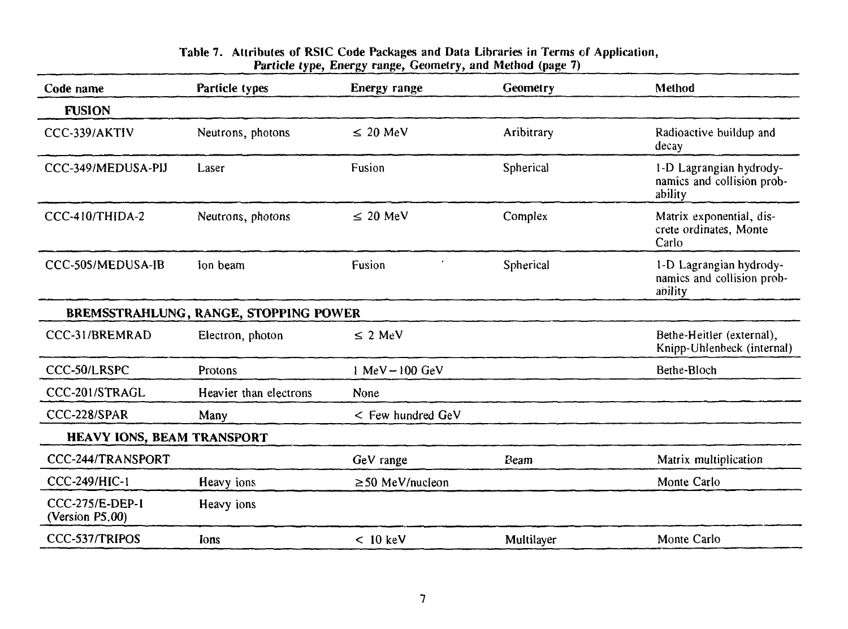#### **Table 7. Attributes of RSIC Code Packages and Data Libraries in Terms of Application, Particle type, Energy range, Geometry, and Method (page 7)**

| Code name                                 | Particle types                        | Energy range          | Geometry   | Method                                                           |  |
|-------------------------------------------|---------------------------------------|-----------------------|------------|------------------------------------------------------------------|--|
| <b>FUSION</b>                             |                                       |                       |            |                                                                  |  |
| CCC-339/AKTIV                             | Neutrons, photons                     | $\leq$ 20 MeV         | Aribitrary | Radioactive buildup and<br>decay                                 |  |
| CCC-349/MEDUSA-PIJ                        | Laser                                 | Fusion                | Spherical  | 1-D Lagrangian hydrody-<br>namics and collision prob-<br>ability |  |
| CCC-410/THIDA-2                           | Neutrons, photons                     | $\leq$ 20 MeV         | Complex    | Matrix exponential, dis-<br>crete ordinates, Monte<br>Carlo      |  |
| CCC-505/MEDUSA-IB                         | Ion beam                              | Fusion                | Spherical  | 1-D Lagrangian hydrody-<br>namics and collision prob-<br>ability |  |
|                                           | BREMSSTRAHLUNG, RANGE, STOPPING POWER |                       |            |                                                                  |  |
| CCC-31/BREMRAD                            | Electron, photon                      | $\leq$ 2 MeV          |            | Bethe-Heitler (external),<br>Knipp-Uhlenbeck (internal)          |  |
| CCC-50/LRSPC                              | Protons                               | $1$ MeV $-100$ GeV    |            | Bethe-Bloch                                                      |  |
| CCC-201/STRAGL                            | Heavier than electrons                | None                  |            |                                                                  |  |
| CCC-228/SPAR                              | Many                                  | $<$ Few hundred GeV   |            |                                                                  |  |
| HEAVY IONS, BEAM TRANSPORT                |                                       |                       |            |                                                                  |  |
| CCC-244/TRANSPORT                         |                                       | GeV range             | Beam       | Matrix multiplication                                            |  |
| <b>CCC-249/HIC-1</b>                      | Heavy ions                            | $\geq$ 50 MeV/nucleon |            | Monte Carlo                                                      |  |
| <b>CCC-275/E-DEP-1</b><br>(Version P5.00) | Heavy ions                            |                       |            |                                                                  |  |
| CCC-537/TRIPOS                            | lons                                  | $< 10$ keV            | Multilayer | Monte Carlo                                                      |  |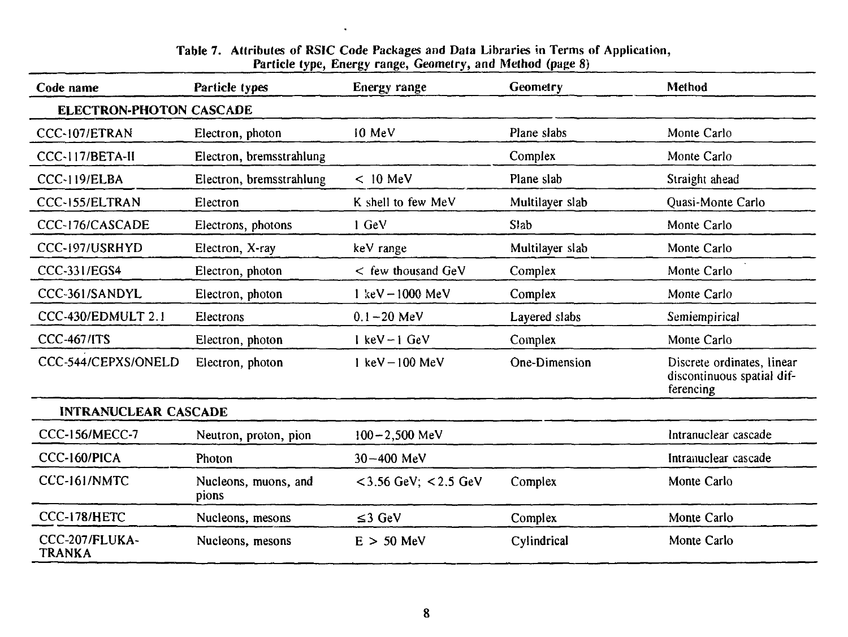| rarucie type, iznergy range, Geometry, and method (page of |                               |                                    |                 |                                                                       |  |
|------------------------------------------------------------|-------------------------------|------------------------------------|-----------------|-----------------------------------------------------------------------|--|
| Code name                                                  | Particle types                | Energy range                       | <b>Geometry</b> | Method                                                                |  |
| <b>ELECTRON-PHOTON CASCADE</b>                             |                               |                                    |                 |                                                                       |  |
| CCC-107/ETRAN                                              | Electron, photon              | 10 MeV                             | Plane slabs     | Monte Carlo                                                           |  |
| CCC-117/BETA-II                                            | Electron, bremsstrahlung      |                                    | Complex         | Monte Carlo                                                           |  |
| CCC-119/ELBA                                               | Electron, bremsstrahlung      | $< 10$ MeV                         | Plane slab      | Straight ahead                                                        |  |
| CCC-155/ELTRAN                                             | Electron                      | K shell to few MeV                 | Multilayer slab | Quasi-Monte Carlo                                                     |  |
| CCC-176/CASCADE                                            | Electrons, photons            | 1 GeV                              | Slab            | Monte Carlo                                                           |  |
| CCC-197/USRHYD                                             | Electron, X-ray               | keV range                          | Multilayer slab | Monte Carlo                                                           |  |
| <b>CCC-331/EGS4</b>                                        | Electron, photon              | $<$ few thousand GeV               | Complex         | Monte Carlo                                                           |  |
| CCC-361/SANDYL                                             | Electron, photon              | $1 \text{ keV} - 1000 \text{ MeV}$ | Complex         | Monte Carlo                                                           |  |
| CCC-430/EDMULT 2.1                                         | Electrons                     | $0.1 - 20$ MeV                     | Layered slabs   | Semiempirical                                                         |  |
| <b>CCC-467/ITS</b>                                         | Electron, photon              | $l$ keV $-1$ GeV                   | Complex         | Monte Carlo                                                           |  |
| CCC-544/CEPXS/ONELD                                        | Electron, photon              | $1 \text{ keV} - 100 \text{ MeV}$  | One-Dimension   | Discrete ordinates, linear<br>discontinuous spatial dif-<br>ferencing |  |
| <b>INTRANUCLEAR CASCADE</b>                                |                               |                                    |                 |                                                                       |  |
| <b>CCC-156/MECC-7</b>                                      | Neutron, proton, pion         | $100 - 2,500$ MeV                  |                 | Intranuclear cascade                                                  |  |
| CCC-160/PICA                                               | Photon                        | $30 - 400$ MeV                     |                 | Intranuclear cascade                                                  |  |
| CCC-161/NMTC                                               | Nucleons, muons, and<br>pions | $<$ 3.56 GeV; $<$ 2.5 GeV          | Complex         | Monte Carlo                                                           |  |
| CCC-178/HETC                                               | Nucleons, mesons              | $\leq$ 3 GeV                       | Complex         | Monte Carlo                                                           |  |
| CCC-207/FLUKA-<br>TRANKA                                   | Nucleons, mesons              | $E > 50$ MeV                       | Cylindrical     | Monte Carlo                                                           |  |

#### **Table 7. Attributes of RSIC** Code Packages and **Data Libraries** in **Terms of Particle type,** Energy range, Geometry, **and Method** (page 8) Application,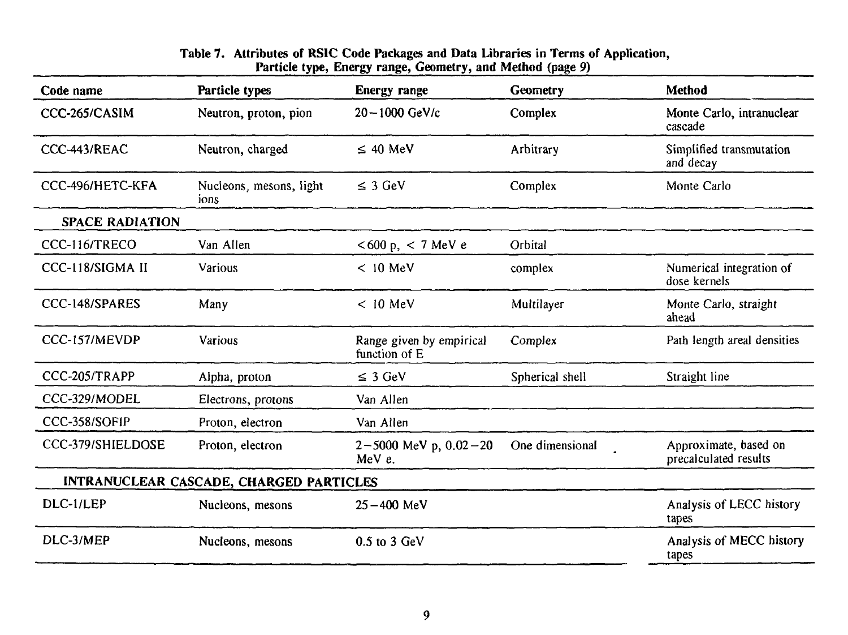#### **Table 7. Attributes of RSIC Code Packages and Data Libraries in Terms of Particle type, Energy range, Geometry, and Method** (page 9) **Application,**

| Code name                                      | Particle types                  | Energy range                              | Geometry        | <b>Method</b>                                  |  |
|------------------------------------------------|---------------------------------|-------------------------------------------|-----------------|------------------------------------------------|--|
| CCC-265/CASIM                                  | Neutron, proton, pion           | 20-1000 GeV/c                             | Complex         | Monte Carlo, intranuclear<br>cascade           |  |
| CCC-443/REAC                                   | Neutron, charged                | $\leq 40$ MeV                             | Arbitrary       | Simplified transmutation<br>and decay          |  |
| CCC-496/HETC-KFA                               | Nucleons, mesons, light<br>ions | $\leq$ 3 GeV                              | Complex         | Monte Carlo                                    |  |
| <b>SPACE RADIATION</b>                         |                                 |                                           |                 |                                                |  |
| CCC-116/TRECO                                  | Van Allen                       | < 600 p, < 7 MeV e                        | Orbital         |                                                |  |
| CCC-118/SIGMA II                               | Various                         | $< 10$ MeV                                | complex         | Numerical integration of<br>dose kernels       |  |
| CCC-148/SPARES                                 | Many                            | $< 10$ MeV                                | Multilayer      | Monte Carlo, straight<br>ahead                 |  |
| CCC-157/MEVDP                                  | <b>Various</b>                  | Range given by empirical<br>function of E | Complex         | Path length areal densities                    |  |
| CCC-205/TRAPP                                  | Alpha, proton                   | $\leq$ 3 GeV                              | Spherical shell | Straight line                                  |  |
| CCC-329/MODEL                                  | Electrons, protons              | Van Allen                                 |                 |                                                |  |
| CCC-358/SOFIP                                  | Proton, electron                | Van Allen                                 |                 |                                                |  |
| CCC-379/SHIELDOSE                              | Proton, electron                | $2 - 5000$ MeV p, $0.02 - 20$<br>MeV e.   | One dimensional | Approximate, based on<br>precalculated results |  |
| <b>INTRANUCLEAR CASCADE, CHARGED PARTICLES</b> |                                 |                                           |                 |                                                |  |
| DLC-1/LEP                                      | Nucleons, mesons                | $25 - 400$ MeV                            |                 | Analysis of LECC history<br>tapes              |  |
| DLC-3/MEP                                      | Nucleons, mesons                | $0.5$ to $3$ GeV                          |                 | Analysis of MECC history<br>tapes              |  |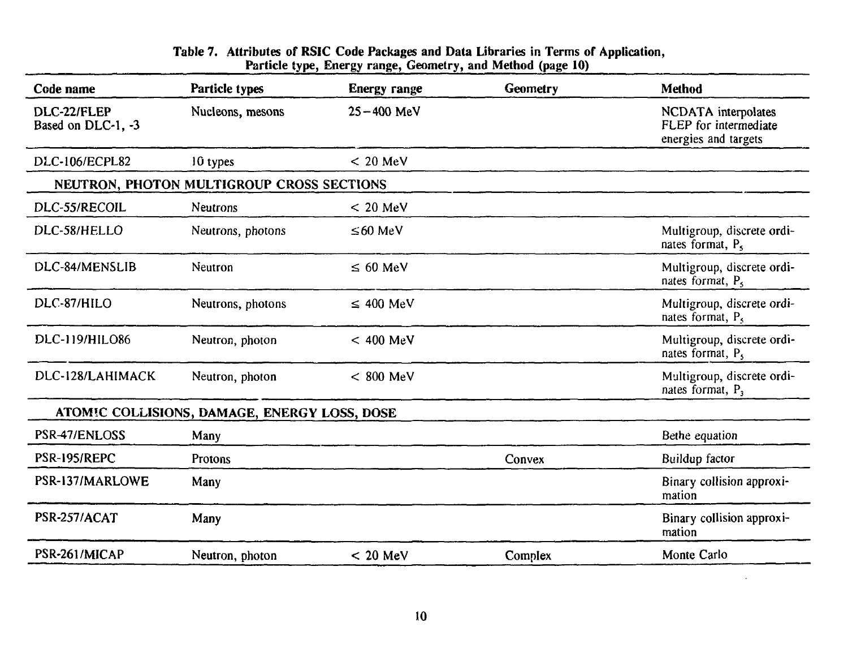### **Table 7. Attributes of RSIC Code Packages and Data Libraries in Terms of Application, Particle type, Energy range, Geometry, and Method (page 10)**

| Code name                         | Particle types                               | <b>Energy range</b> | Geometry | Method                                                               |
|-----------------------------------|----------------------------------------------|---------------------|----------|----------------------------------------------------------------------|
| DLC-22/FLEP<br>Based on DLC-1, -3 | Nucleons, mesons                             | $25 - 400$ MeV      |          | NCDATA interpolates<br>FLEP for intermediate<br>energies and targets |
| <b>DLC-106/ECPL82</b>             | 10 types                                     | $< 20$ MeV          |          |                                                                      |
|                                   | NEUTRON, PHOTON MULTIGROUP CROSS SECTIONS    |                     |          |                                                                      |
| DLC-55/RECOIL                     | <b>Neutrons</b>                              | $< 20$ MeV          |          |                                                                      |
| DLC-58/HELLO                      | Neutrons, photons                            | $\leq 60$ MeV       |          | Multigroup, discrete ordi-<br>nates format, P <sub>5</sub>           |
| DLC-84/MENSLIB                    | Neutron                                      | $\leq 60$ MeV       |          | Multigroup, discrete ordi-<br>nates format, $P_5$                    |
| DLC-87/HILO                       | Neutrons, photons                            | $\leq$ 400 MeV      |          | Multigroup, discrete ordi-<br>nates format, P <sub>5</sub>           |
| DLC-119/HILO86                    | Neutron, photon                              | $< 400$ MeV         |          | Multigroup, discrete ordi-<br>nates format, $P_5$                    |
| DLC-128/LAHIMACK                  | Neutron, photon                              | $< 800$ MeV         |          | Multigroup, discrete ordi-<br>nates format, P,                       |
|                                   | ATOMIC COLLISIONS, DAMAGE, ENERGY LOSS, DOSE |                     |          |                                                                      |
| PSR-47/ENLOSS                     | Many                                         |                     |          | Bethe equation                                                       |
| PSR-195/REPC                      | <b>Protons</b>                               |                     | Convex   | Buildup factor                                                       |
| PSR-137/MARLOWE                   | Many                                         |                     |          | Binary collision approxi-<br>mation                                  |
| PSR-257/ACAT                      | Many                                         |                     |          | Binary collision approxi-<br>mation                                  |
| PSR-261/MICAP                     | Neutron, photon                              | $< 20$ MeV          | Complex  | Monte Carlo                                                          |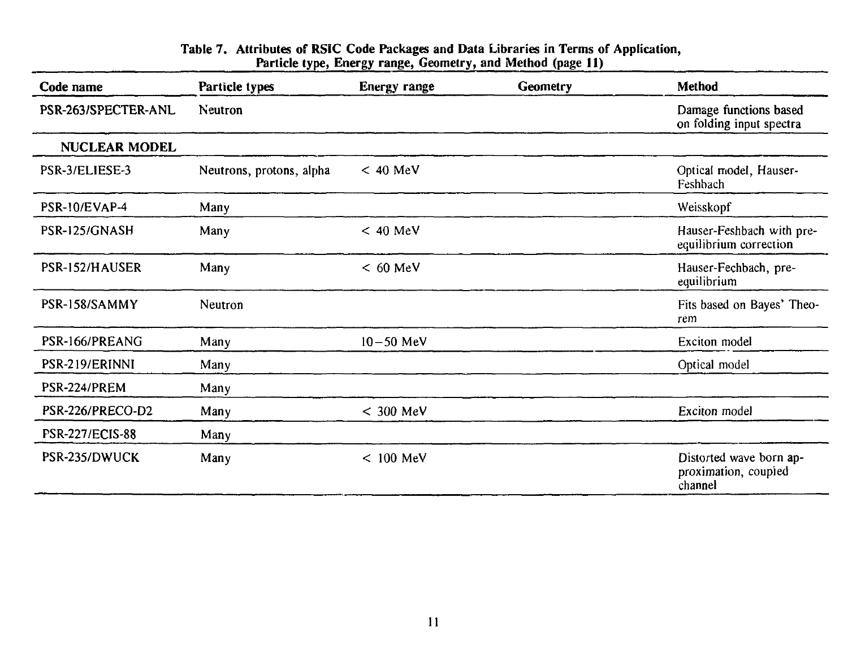| Code name              | Particle types           | <b>Energy range</b> | <b>Geometry</b> | Method                                                     |
|------------------------|--------------------------|---------------------|-----------------|------------------------------------------------------------|
| PSR-263/SPECTER-ANL    | Neutron                  |                     |                 | Damage functions based<br>on folding input spectra         |
| NUCLEAR MODEL          |                          |                     |                 |                                                            |
| PSR-3/ELIESE-3         | Neutrons, protons, alpha | $< 40$ MeV          |                 | Optical model, Hauser-<br>Feshbach                         |
| PSR-10/EVAP-4          | Many                     |                     |                 | Weisskopf                                                  |
| PSR-125/GNASH          | Many                     | $< 40$ MeV          |                 | Hauser-Feshbach with pre-<br>equilibrium correction        |
| PSR-152/HAUSER         | Many                     | $< 60$ MeV          |                 | Hauser-Fechbach, pre-<br>equilibrium                       |
| PSR-158/SAMMY          | Neutron                  |                     |                 | Fits based on Bayes' Theo-<br>rem                          |
| PSR-166/PREANG         | Many                     | $10 - 50$ MeV       |                 | Exciton model                                              |
| PSR-219/ERINNI         | Many                     |                     |                 | Optical model                                              |
| PSR-224/PREM           | Many                     |                     |                 |                                                            |
| PSR-226/PRECO-D2       | Many                     | $< 300$ MeV         |                 | Exciton model                                              |
| <b>PSR-227/ECIS-88</b> | Many                     |                     |                 |                                                            |
| PSR-235/DWUCK          | Many                     | $< 100$ MeV         |                 | Distorted wave born ap-<br>proximation, coupled<br>channel |

#### **Table 7. Attributes of RSIC Code Packages and Data Libraries in Terms of Application, Particle type, Energy range, Geometry, and Method (page II)**